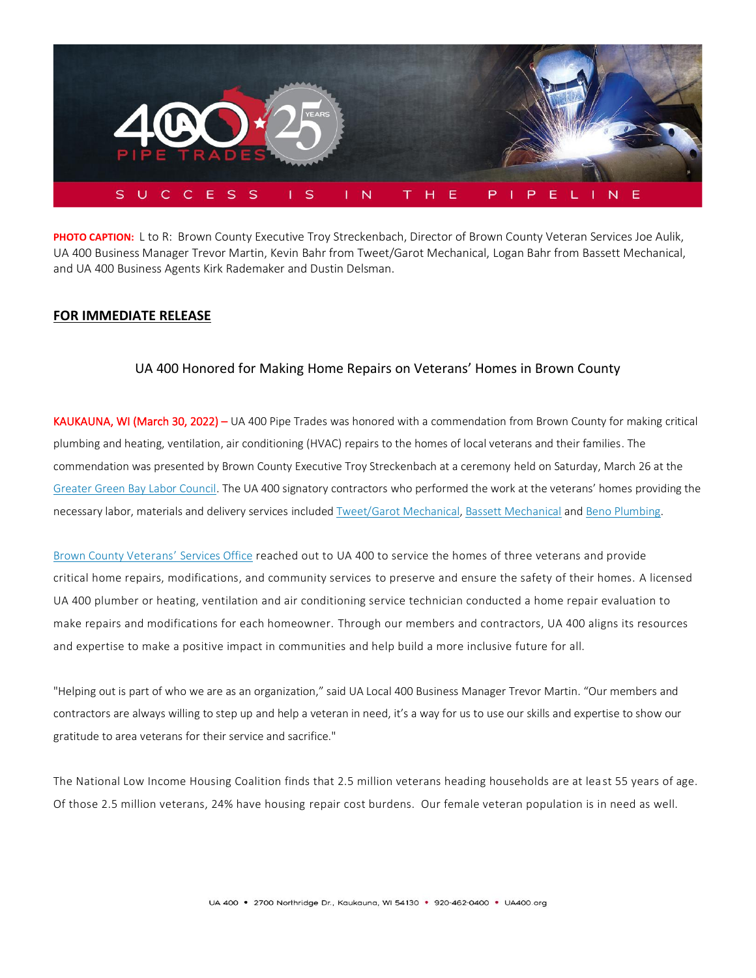

**PHOTO CAPTION:** L to R: Brown County Executive Troy Streckenbach, Director of Brown County Veteran Services Joe Aulik, UA 400 Business Manager Trevor Martin, Kevin Bahr from Tweet/Garot Mechanical, Logan Bahr from Bassett Mechanical, and UA 400 Business Agents Kirk Rademaker and Dustin Delsman.

# **FOR IMMEDIATE RELEASE**

## UA 400 Honored for Making Home Repairs on Veterans' Homes in Brown County

KAUKAUNA, WI (March 30, 2022) – UA 400 Pipe Trades was honored with a commendation from Brown County for making critical plumbing and heating, ventilation, air conditioning (HVAC) repairs to the homes of local veterans and their families. The commendation was presented by Brown County Executive Troy Streckenbach at a ceremony held on Saturday, March 26 at the [Greater Green Bay Labor Council.](https://www.wisaflcio.org/green-bay-labor-council) The UA 400 signatory contractors who performed the work at the veterans' homes providing the necessary labor, materials and delivery services included [Tweet/Garot Mechanical,](https://tweetgarot.com/) [Bassett Mechanical](https://www.bassettmechanical.com/) an[d Beno Plumbing.](https://www.benoplumbing.com/)

[Brown County](https://www.browncountywi.gov/departments/veterans-services/general-information/) Veterans' Services Office reached out to UA 400 to service the homes of three veterans and provide critical home repairs, modifications, and community services to preserve and ensure the safety of their homes. A licensed UA 400 plumber or heating, ventilation and air conditioning service technician conducted a home repair evaluation to make repairs and modifications for each homeowner. Through our members and contractors, UA 400 aligns its resources and expertise to make a positive impact in communities and help build a more inclusive future for all.

"Helping out is part of who we are as an organization," said UA Local 400 Business Manager Trevor Martin. "Our members and contractors are always willing to step up and help a veteran in need, it's a way for us to use our skills and expertise to show our gratitude to area veterans for their service and sacrifice."

The National Low Income Housing Coalition finds that 2.5 million veterans heading households are at lea st 55 years of age. Of those 2.5 million veterans, 24% have housing repair cost burdens. Our female veteran population is in need as well.